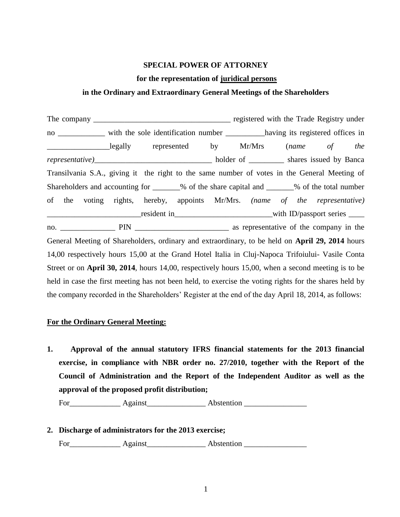### **SPECIAL POWER OF ATTORNEY**

#### **for the representation of juridical persons**

#### **in the Ordinary and Extraordinary General Meetings of the Shareholders**

The company \_\_\_\_\_\_\_\_\_\_\_\_\_\_\_\_\_\_\_\_\_\_\_\_\_\_\_\_\_\_\_\_\_\_\_ registered with the Trade Registry under no \_\_\_\_\_\_\_\_\_\_\_\_ with the sole identification number \_\_\_\_\_\_\_\_\_\_\_having its registered offices in \_\_\_\_\_\_\_\_\_\_\_\_\_\_\_\_legally represented by Mr/Mrs (*name of the representative)*\_\_\_\_\_\_\_\_\_\_\_\_\_\_\_\_\_\_\_\_\_\_\_\_\_\_\_\_\_\_ holder of \_\_\_\_\_\_\_\_\_ shares issued by Banca Transilvania S.A., giving it the right to the same number of votes in the General Meeting of Shareholders and accounting for \_\_\_\_\_\_\_% of the share capital and \_\_\_\_\_\_\_% of the total number of the voting rights, hereby, appoints Mr/Mrs. *(name of the representative)* \_\_\_\_\_\_\_\_\_\_\_\_\_\_\_\_\_\_\_\_\_\_\_\_resident in\_\_\_\_\_\_\_\_\_\_\_\_\_\_\_\_\_\_\_\_\_\_\_\_\_with ID/passport series \_\_\_\_ no. The PIN as representative of the company in the property as representative of the company in the General Meeting of Shareholders, ordinary and extraordinary, to be held on **April 29, 2014** hours 14,00 respectively hours 15,00 at the Grand Hotel Italia in Cluj-Napoca Trifoiului- Vasile Conta Street or on **April 30, 2014**, hours 14,00, respectively hours 15,00, when a second meeting is to be held in case the first meeting has not been held, to exercise the voting rights for the shares held by the company recorded in the Shareholders' Register at the end of the day April 18, 2014, as follows:

#### **For the Ordinary General Meeting:**

**1. Approval of the annual statutory IFRS financial statements for the 2013 financial exercise, in compliance with NBR order no. 27/2010, together with the Report of the Council of Administration and the Report of the Independent Auditor as well as the approval of the proposed profit distribution;**

For Against Abstention

**2. Discharge of administrators for the 2013 exercise;**  For\_\_\_\_\_\_\_\_\_\_\_\_\_ Against\_\_\_\_\_\_\_\_\_\_\_\_\_\_\_ Abstention \_\_\_\_\_\_\_\_\_\_\_\_\_\_\_\_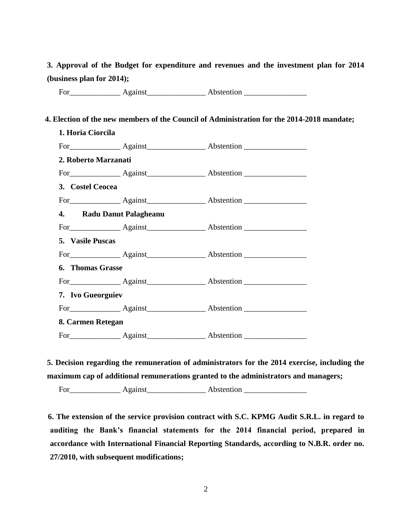**3. Approval of the Budget for expenditure and revenues and the investment plan for 2014 (business plan for 2014);** 

For Against Against Abstention **Abstention** 

## **4. Election of the new members of the Council of Administration for the 2014-2018 mandate;**

| 1. Horia Ciorcila        |  |                                |  |  |
|--------------------------|--|--------------------------------|--|--|
|                          |  | For Against Against Abstention |  |  |
| 2. Roberto Marzanati     |  |                                |  |  |
|                          |  |                                |  |  |
| 3. Costel Ceocea         |  |                                |  |  |
|                          |  |                                |  |  |
| 4. Radu Danut Palagheanu |  |                                |  |  |
|                          |  | For Against Against Abstention |  |  |
| 5. Vasile Puscas         |  |                                |  |  |
|                          |  |                                |  |  |
| <b>6. Thomas Grasse</b>  |  |                                |  |  |
|                          |  | For Against Against Abstention |  |  |
| 7. Ivo Gueorguiev        |  |                                |  |  |
|                          |  |                                |  |  |
| 8. Carmen Retegan        |  |                                |  |  |
|                          |  | For Against Against Abstention |  |  |

**5. Decision regarding the remuneration of administrators for the 2014 exercise, including the maximum cap of additional remunerations granted to the administrators and managers;**

For\_\_\_\_\_\_\_\_\_\_\_\_\_ Against\_\_\_\_\_\_\_\_\_\_\_\_\_\_\_ Abstention \_\_\_\_\_\_\_\_\_\_\_\_\_\_\_\_

 **6. The extension of the service provision contract with S.C. KPMG Audit S.R.L. in regard to auditing the Bank's financial statements for the 2014 financial period, prepared in accordance with International Financial Reporting Standards, according to N.B.R. order no. 27/2010, with subsequent modifications;**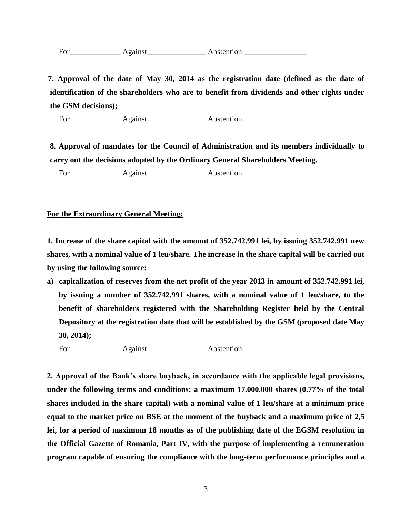| -<br>For | Against | Abstention |
|----------|---------|------------|
|          |         |            |

 **7. Approval of the date of May 30, 2014 as the registration date (defined as the date of identification of the shareholders who are to benefit from dividends and other rights under the GSM decisions);**

For\_\_\_\_\_\_\_\_\_\_\_\_\_ Against\_\_\_\_\_\_\_\_\_\_\_\_\_\_\_ Abstention \_\_\_\_\_\_\_\_\_\_\_\_\_\_\_\_

**8. Approval of mandates for the Council of Administration and its members individually to carry out the decisions adopted by the Ordinary General Shareholders Meeting.**

For\_\_\_\_\_\_\_\_\_\_\_\_\_ Against\_\_\_\_\_\_\_\_\_\_\_\_\_\_\_ Abstention \_\_\_\_\_\_\_\_\_\_\_\_\_\_\_\_

## **For the Extraordinary General Meeting:**

**1. Increase of the share capital with the amount of 352.742.991 lei, by issuing 352.742.991 new shares, with a nominal value of 1 leu/share. The increase in the share capital will be carried out by using the following source:**

**a) capitalization of reserves from the net profit of the year 2013 in amount of 352.742.991 lei, by issuing a number of 352.742.991 shares, with a nominal value of 1 leu/share, to the benefit of shareholders registered with the Shareholding Register held by the Central Depository at the registration date that will be established by the GSM (proposed date May 30, 2014);** 

For Against Abstention

**2. Approval of the Bank's share buyback, in accordance with the applicable legal provisions, under the following terms and conditions: a maximum 17.000.000 shares (0.77% of the total shares included in the share capital) with a nominal value of 1 leu/share at a minimum price equal to the market price on BSE at the moment of the buyback and a maximum price of 2,5 lei, for a period of maximum 18 months as of the publishing date of the EGSM resolution in the Official Gazette of Romania, Part IV, with the purpose of implementing a remuneration program capable of ensuring the compliance with the long-term performance principles and a**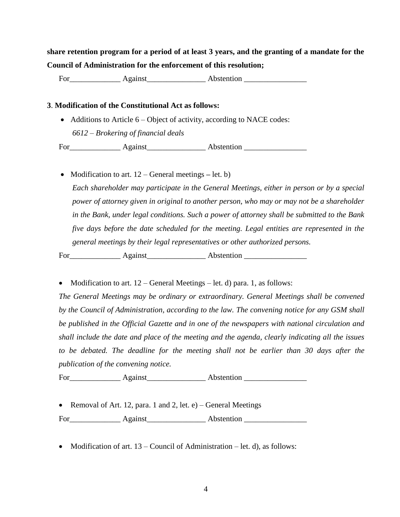# **share retention program for a period of at least 3 years, and the granting of a mandate for the Council of Administration for the enforcement of this resolution;**

For Against Asstention

## **3**. **Modification of the Constitutional Act as follows:**

• Additions to Article 6 – Object of activity, according to NACE codes: *6612 – Brokering of financial deals*

For\_\_\_\_\_\_\_\_\_\_\_\_\_ Against\_\_\_\_\_\_\_\_\_\_\_\_\_\_\_ Abstention \_\_\_\_\_\_\_\_\_\_\_\_\_\_\_\_

• Modification to art.  $12$  – General meetings – let. b)

*Each shareholder may participate in the General Meetings, either in person or by a special power of attorney given in original to another person, who may or may not be a shareholder in the Bank, under legal conditions. Such a power of attorney shall be submitted to the Bank five days before the date scheduled for the meeting. Legal entities are represented in the general meetings by their legal representatives or other authorized persons.*

For\_\_\_\_\_\_\_\_\_\_\_\_\_ Against\_\_\_\_\_\_\_\_\_\_\_\_\_\_\_ Abstention \_\_\_\_\_\_\_\_\_\_\_\_\_\_\_\_

• Modification to art.  $12 -$ General Meetings – let. d) para. 1, as follows:

*The General Meetings may be ordinary or extraordinary. General Meetings shall be convened by the Council of Administration, according to the law. The convening notice for any GSM shall be published in the Official Gazette and in one of the newspapers with national circulation and shall include the date and place of the meeting and the agenda, clearly indicating all the issues to be debated. The deadline for the meeting shall not be earlier than 30 days after the publication of the convening notice.*

For Against Abstention

• Removal of Art. 12, para. 1 and 2, let.  $e$ ) – General Meetings

For\_\_\_\_\_\_\_\_\_\_\_\_\_ Against\_\_\_\_\_\_\_\_\_\_\_\_\_\_\_ Abstention \_\_\_\_\_\_\_\_\_\_\_\_\_\_\_\_

• Modification of art.  $13$  – Council of Administration – let. d), as follows: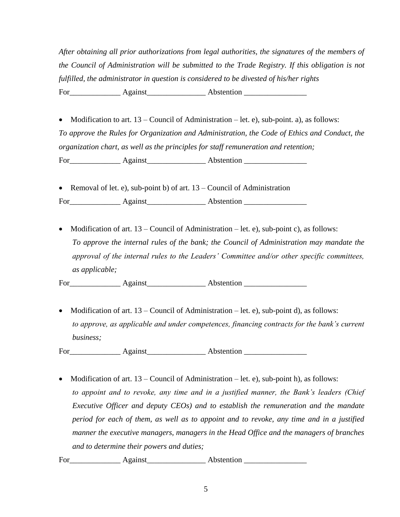*After obtaining all prior authorizations from legal authorities, the signatures of the members of the Council of Administration will be submitted to the Trade Registry. If this obligation is not fulfilled, the administrator in question is considered to be divested of his/her rights* For Against Against Abstention **Abstention** 

• Modification to art.  $13$  – Council of Administration – let. e), sub-point. a), as follows: *To approve the Rules for Organization and Administration, the Code of Ethics and Conduct, the organization chart, as well as the principles for staff remuneration and retention;* For\_\_\_\_\_\_\_\_\_\_\_\_\_ Against\_\_\_\_\_\_\_\_\_\_\_\_\_\_\_ Abstention \_\_\_\_\_\_\_\_\_\_\_\_\_\_\_\_

• Removal of let. e), sub-point b) of art. 13 – Council of Administration For\_\_\_\_\_\_\_\_\_\_\_\_\_ Against\_\_\_\_\_\_\_\_\_\_\_\_\_\_\_ Abstention \_\_\_\_\_\_\_\_\_\_\_\_\_\_\_\_

• Modification of art.  $13 -$ Council of Administration – let. e), sub-point c), as follows: *To approve the internal rules of the bank; the Council of Administration may mandate the approval of the internal rules to the Leaders' Committee and/or other specific committees, as applicable;*

For Against Abstention **Abstention** 

• Modification of art.  $13$  – Council of Administration – let. e), sub-point d), as follows: *to approve, as applicable and under competences, financing contracts for the bank's current business;*

For Against Against Abstention **Abstention** 

• Modification of art.  $13 -$ Council of Administration – let. e), sub-point h), as follows: *to appoint and to revoke, any time and in a justified manner, the Bank's leaders (Chief Executive Officer and deputy CEOs) and to establish the remuneration and the mandate period for each of them, as well as to appoint and to revoke, any time and in a justified manner the executive managers, managers in the Head Office and the managers of branches and to determine their powers and duties;*

For Against Abstention **Abstention**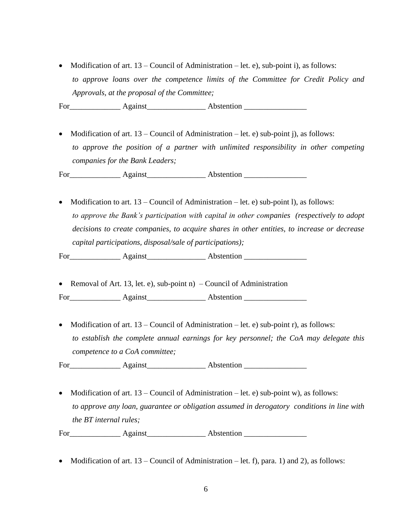• Modification of art.  $13$  – Council of Administration – let. e), sub-point i), as follows: *to approve loans over the competence limits of the Committee for Credit Policy and Approvals, at the proposal of the Committee;*

For\_\_\_\_\_\_\_\_\_\_\_\_\_ Against\_\_\_\_\_\_\_\_\_\_\_\_\_\_\_ Abstention \_\_\_\_\_\_\_\_\_\_\_\_\_\_\_\_

• Modification of art.  $13 -$ Council of Administration – let. e) sub-point j), as follows: *to approve the position of a partner with unlimited responsibility in other competing companies for the Bank Leaders;*

For Against Abstention **Abstention** 

• Modification to art.  $13$  – Council of Administration – let. e) sub-point l), as follows: *to approve the Bank's participation with capital in other companies (respectively to adopt decisions to create companies, to acquire shares in other entities, to increase or decrease capital participations, disposal/sale of participations);*

For\_\_\_\_\_\_\_\_\_\_\_\_\_ Against\_\_\_\_\_\_\_\_\_\_\_\_\_\_\_ Abstention \_\_\_\_\_\_\_\_\_\_\_\_\_\_\_\_

• Removal of Art. 13, let. e), sub-point n)  $-$  Council of Administration

For\_\_\_\_\_\_\_\_\_\_\_\_\_ Against\_\_\_\_\_\_\_\_\_\_\_\_\_\_\_ Abstention \_\_\_\_\_\_\_\_\_\_\_\_\_\_\_\_

• Modification of art.  $13$  – Council of Administration – let. e) sub-point r), as follows: *to establish the complete annual earnings for key personnel; the CoA may delegate this competence to a CoA committee;*

For\_\_\_\_\_\_\_\_\_\_\_\_\_ Against\_\_\_\_\_\_\_\_\_\_\_\_\_\_\_ Abstention \_\_\_\_\_\_\_\_\_\_\_\_\_\_\_\_

• Modification of art.  $13$  – Council of Administration – let. e) sub-point w), as follows: *to approve any loan, guarantee or obligation assumed in derogatory conditions in line with the BT internal rules;*

For\_\_\_\_\_\_\_\_\_\_\_\_\_ Against\_\_\_\_\_\_\_\_\_\_\_\_\_\_\_ Abstention \_\_\_\_\_\_\_\_\_\_\_\_\_\_\_\_

• Modification of art.  $13$  – Council of Administration – let. f), para. 1) and 2), as follows: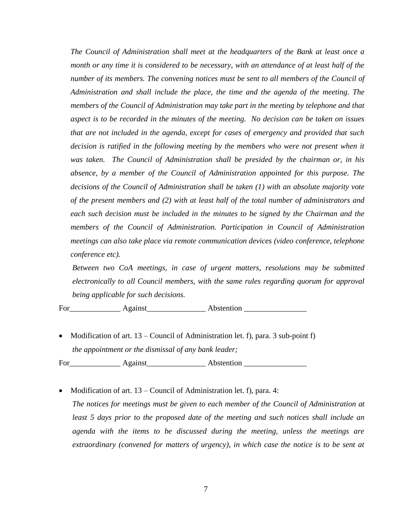*The Council of Administration shall meet at the headquarters of the Bank at least once a month or any time it is considered to be necessary, with an attendance of at least half of the number of its members. The convening notices must be sent to all members of the Council of Administration and shall include the place, the time and the agenda of the meeting. The members of the Council of Administration may take part in the meeting by telephone and that aspect is to be recorded in the minutes of the meeting. No decision can be taken on issues that are not included in the agenda, except for cases of emergency and provided that such decision is ratified in the following meeting by the members who were not present when it was taken. The Council of Administration shall be presided by the chairman or, in his absence, by a member of the Council of Administration appointed for this purpose. The decisions of the Council of Administration shall be taken (1) with an absolute majority vote of the present members and (2) with at least half of the total number of administrators and each such decision must be included in the minutes to be signed by the Chairman and the members of the Council of Administration. Participation in Council of Administration meetings can also take place via remote communication devices (video conference, telephone conference etc).* 

*Between two CoA meetings, in case of urgent matters, resolutions may be submitted electronically to all Council members, with the same rules regarding quorum for approval being applicable for such decisions.*

For\_\_\_\_\_\_\_\_\_\_\_\_\_ Against\_\_\_\_\_\_\_\_\_\_\_\_\_\_\_ Abstention \_\_\_\_\_\_\_\_\_\_\_\_\_\_\_\_

 Modification of art. 13 – Council of Administration let. f), para. 3 sub-point f) *the appointment or the dismissal of any bank leader;*

For Against Abstention **Abstention** 

• Modification of art.  $13$  – Council of Administration let. f), para. 4: *The notices for meetings must be given to each member of the Council of Administration at least 5 days prior to the proposed date of the meeting and such notices shall include an agenda with the items to be discussed during the meeting, unless the meetings are extraordinary (convened for matters of urgency), in which case the notice is to be sent at*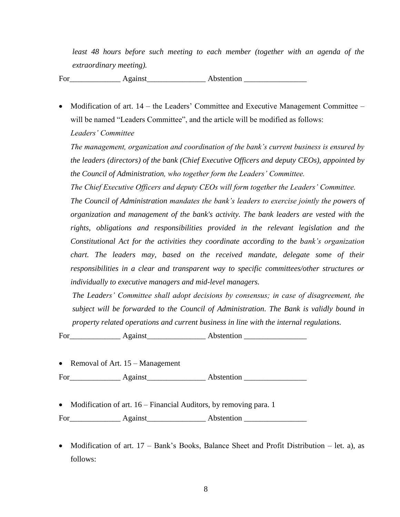*least 48 hours before such meeting to each member (together with an agenda of the extraordinary meeting).*

For\_\_\_\_\_\_\_\_\_\_\_\_\_ Against\_\_\_\_\_\_\_\_\_\_\_\_\_\_\_ Abstention \_\_\_\_\_\_\_\_\_\_\_\_\_\_\_\_

• Modification of art. 14 – the Leaders' Committee and Executive Management Committee – will be named "Leaders Committee", and the article will be modified as follows: *Leaders' Committee*

*The management, organization and coordination of the bank's current business is ensured by the leaders (directors) of the bank (Chief Executive Officers and deputy CEOs), appointed by the Council of Administration, who together form the Leaders' Committee.* 

*The Chief Executive Officers and deputy CEOs will form together the Leaders' Committee.* 

*The Council of Administration mandates the bank's leaders to exercise jointly the powers of organization and management of the bank's activity. The bank leaders are vested with the rights, obligations and responsibilities provided in the relevant legislation and the Constitutional Act for the activities they coordinate according to the bank's organization chart. The leaders may, based on the received mandate, delegate some of their responsibilities in a clear and transparent way to specific committees/other structures or individually to executive managers and mid-level managers.*

*The Leaders' Committee shall adopt decisions by consensus; in case of disagreement, the subject will be forwarded to the Council of Administration. The Bank is validly bound in property related operations and current business in line with the internal regulations.*

For Against Abstention

• Removal of Art. 15 – Management

For Against Abstention

• Modification of art. 16 – Financial Auditors, by removing para. 1

For Against Abstention **Abstention** 

• Modification of art.  $17$  – Bank's Books, Balance Sheet and Profit Distribution – let. a), as follows: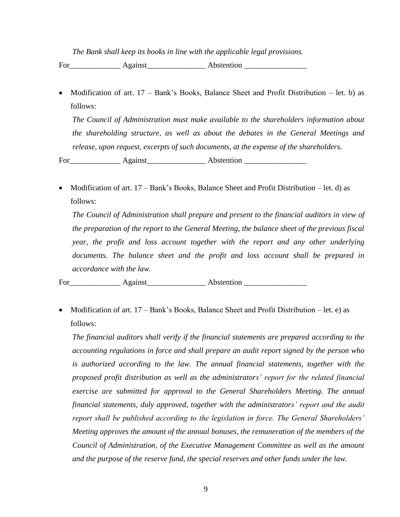*The Bank shall keep its books in line with the applicable legal provisions.*

For Against Abstention

• Modification of art.  $17$  – Bank's Books, Balance Sheet and Profit Distribution – let. b) as follows:

*The Council of Administration must make available to the shareholders information about the shareholding structure, as well as about the debates in the General Meetings and release, upon request, excerpts of such documents, at the expense of the shareholders.*

For\_\_\_\_\_\_\_\_\_\_\_\_\_ Against\_\_\_\_\_\_\_\_\_\_\_\_\_\_\_ Abstention \_\_\_\_\_\_\_\_\_\_\_\_\_\_\_\_

• Modification of art.  $17 - Bank's Books$ , Balance Sheet and Profit Distribution – let. d) as follows:

*The Council of Administration shall prepare and present to the financial auditors in view of the preparation of the report to the General Meeting, the balance sheet of the previous fiscal year, the profit and loss account together with the report and any other underlying documents. The balance sheet and the profit and loss account shall be prepared in accordance with the law.*

For\_\_\_\_\_\_\_\_\_\_\_\_\_ Against\_\_\_\_\_\_\_\_\_\_\_\_\_\_\_ Abstention \_\_\_\_\_\_\_\_\_\_\_\_\_\_\_\_

• Modification of art.  $17 - Bank's Books$ , Balance Sheet and Profit Distribution – let. e) as follows:

*The financial auditors shall verify if the financial statements are prepared according to the accounting regulations in force and shall prepare an audit report signed by the person who*  is authorized according to the law. The annual financial statements, together with the *proposed profit distribution as well as the administrators' report for the related financial exercise are submitted for approval to the General Shareholders Meeting. The annual financial statements, duly approved, together with the administrators' report and the audit report shall be published according to the legislation in force. The General Shareholders' Meeting approves the amount of the annual bonuses, the remuneration of the members of the Council of Administration, of the Executive Management Committee as well as the amount and the purpose of the reserve fund, the special reserves and other funds under the law.*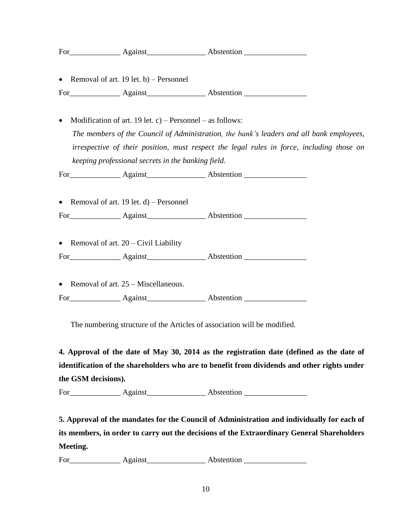|           |  |                                                                                                                                                 | For Against Against Abstention                                                           |  |  |  |
|-----------|--|-------------------------------------------------------------------------------------------------------------------------------------------------|------------------------------------------------------------------------------------------|--|--|--|
|           |  | • Removal of art. 19 let. b) – Personnel                                                                                                        |                                                                                          |  |  |  |
|           |  |                                                                                                                                                 |                                                                                          |  |  |  |
| $\bullet$ |  | Modification of art. 19 let. c) – Personnel – as follows:                                                                                       |                                                                                          |  |  |  |
|           |  |                                                                                                                                                 | The members of the Council of Administration, the bank's leaders and all bank employees, |  |  |  |
|           |  | irrespective of their position, must respect the legal rules in force, including those on<br>keeping professional secrets in the banking field. |                                                                                          |  |  |  |
|           |  |                                                                                                                                                 |                                                                                          |  |  |  |
|           |  |                                                                                                                                                 | For Against Against Abstention                                                           |  |  |  |
|           |  | • Removal of art. 19 let. $d$ ) – Personnel                                                                                                     |                                                                                          |  |  |  |
|           |  |                                                                                                                                                 | For Against Against Abstention                                                           |  |  |  |
|           |  | • Removal of art. $20 - Civil$ Liability                                                                                                        |                                                                                          |  |  |  |
|           |  |                                                                                                                                                 | For Against Against Abstention                                                           |  |  |  |
|           |  | • Removal of art. $25 -$ Miscellaneous.                                                                                                         |                                                                                          |  |  |  |
|           |  |                                                                                                                                                 | For Against Against Abstention                                                           |  |  |  |

The numbering structure of the Articles of association will be modified.

**4. Approval of the date of May 30, 2014 as the registration date (defined as the date of identification of the shareholders who are to benefit from dividends and other rights under the GSM decisions).**

For Against Abstention

**5. Approval of the mandates for the Council of Administration and individually for each of its members, in order to carry out the decisions of the Extraordinary General Shareholders Meeting.**

For Against Abstention **Abstention**